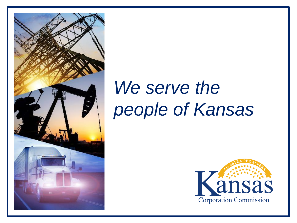

# We serve the *people of Kansas*

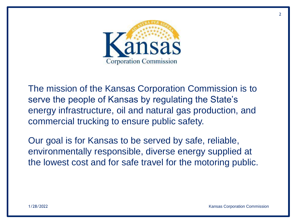

The mission of the Kansas Corporation Commission is to serve the people of Kansas by regulating the State's energy infrastructure, oil and natural gas production, and commercial trucking to ensure public safety.

Our goal is for Kansas to be served by safe, reliable, environmentally responsible, diverse energy supplied at the lowest cost and for safe travel for the motoring public.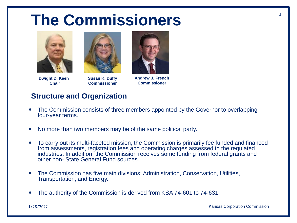### **The Commissioners** <sup>3</sup>



**Dwight D. Keen Chair**



**Susan K. Duffy Commissioner**



**Andrew J. French Commissioner**

#### **Structure and Organization**

- The Commission consists of three members appointed by the Governor to overlapping four-year terms.
- No more than two members may be of the same political party.
- To carry out its multi-faceted mission, the Commission is primarily fee funded and financed from assessments, registration fees and operating charges assessed to the regulated industries. In addition, the Commission receives some funding from federal grants and other non- State General Fund sources.
- The Commission has five main divisions: Administration, Conservation, Utilities, Transportation, and Energy.
- The authority of the Commission is derived from KSA 74-601 to 74-631.

1/28/2022 Kansas Corporation Commission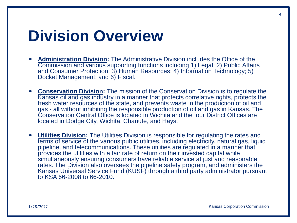#### **Division Overview**

- **Administration Division:** The Administrative Division includes the Office of the Commission and various supporting functions including 1) Legal; 2) Public Affairs and Consumer Protection; 3) Human Resources; 4) Information Technology; 5) Docket Management; and 6) Fiscal.
- **Conservation Division:** The mission of the Conservation Division is to regulate the Kansas oil and gas industry in a manner that protects correlative rights, protects the fresh water resources of the state, and prevents waste in the production of oil and gas - all without inhibiting the responsible production of oil and gas in Kansas. The Conservation Central Office is located in Wichita and the four District Offices are located in Dodge City, Wichita, Chanute, and Hays.
- **Utilities Division:** The Utilities Division is responsible for regulating the rates and terms of service of the various public utilities, including electricity, natural gas, liquid pipeline, and telecommunications. These utilities are regulated in a manner that provides the utilities with a fair rate of return on their invested capital while simultaneously ensuring consumers have reliable service at just and reasonable rates. The Division also oversees the pipeline safety program, and administers the Kansas Universal Service Fund (KUSF) through a third party administrator pursuant to KSA 66-2008 to 66-2010.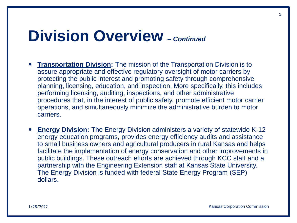#### **Division Overview** *– Continued*

- **Transportation Division:** The mission of the Transportation Division is to assure appropriate and effective regulatory oversight of motor carriers by protecting the public interest and promoting safety through comprehensive planning, licensing, education, and inspection. More specifically, this includes performing licensing, auditing, inspections, and other administrative procedures that, in the interest of public safety, promote efficient motor carrier operations, and simultaneously minimize the administrative burden to motor carriers.
- **Energy Division:** The Energy Division administers a variety of statewide K-12 energy education programs, provides energy efficiency audits and assistance to small business owners and agricultural producers in rural Kansas and helps facilitate the implementation of energy conservation and other improvements in public buildings. These outreach efforts are achieved through KCC staff and a partnership with the Engineering Extension staff at Kansas State University. The Energy Division is funded with federal State Energy Program (SEP) dollars.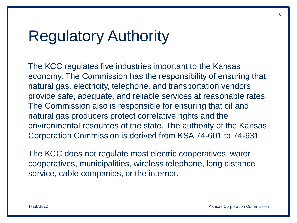#### Regulatory Authority

The KCC regulates five industries important to the Kansas economy. The Commission has the responsibility of ensuring that natural gas, electricity, telephone, and transportation vendors provide safe, adequate, and reliable services at reasonable rates. The Commission also is responsible for ensuring that oil and natural gas producers protect correlative rights and the environmental resources of the state. The authority of the Kansas Corporation Commission is derived from KSA 74-601 to 74-631.

The KCC does not regulate most electric cooperatives, water cooperatives, municipalities, wireless telephone, long distance service, cable companies, or the internet.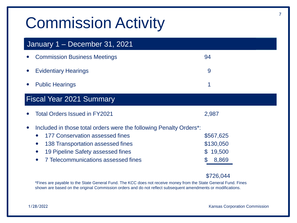## Commission Activity

| January 1 - December 31, 2021   |                                                                    |               |
|---------------------------------|--------------------------------------------------------------------|---------------|
|                                 | <b>Commission Business Meetings</b>                                | 94            |
|                                 | <b>Evidentiary Hearings</b>                                        | 9             |
|                                 | <b>Public Hearings</b>                                             | 1             |
| <b>Fiscal Year 2021 Summary</b> |                                                                    |               |
|                                 | Total Orders Issued in FY2021                                      | 2,987         |
|                                 | Included in those total orders were the following Penalty Orders*: |               |
|                                 | 177 Conservation assessed fines                                    | \$567,625     |
|                                 | 138 Transportation assessed fines<br>$\bullet$                     | \$130,050     |
|                                 | 19 Pipeline Safety assessed fines                                  | 19,500<br>\$. |
|                                 | <b>7 Telecommunications assessed fines</b>                         | 8,869         |

#### \$726,044

\*Fines are payable to the State General Fund. The KCC does not receive money from the State General Fund. Fines shown are based on the original Commission orders and do not reflect subsequent amendments or modifications.